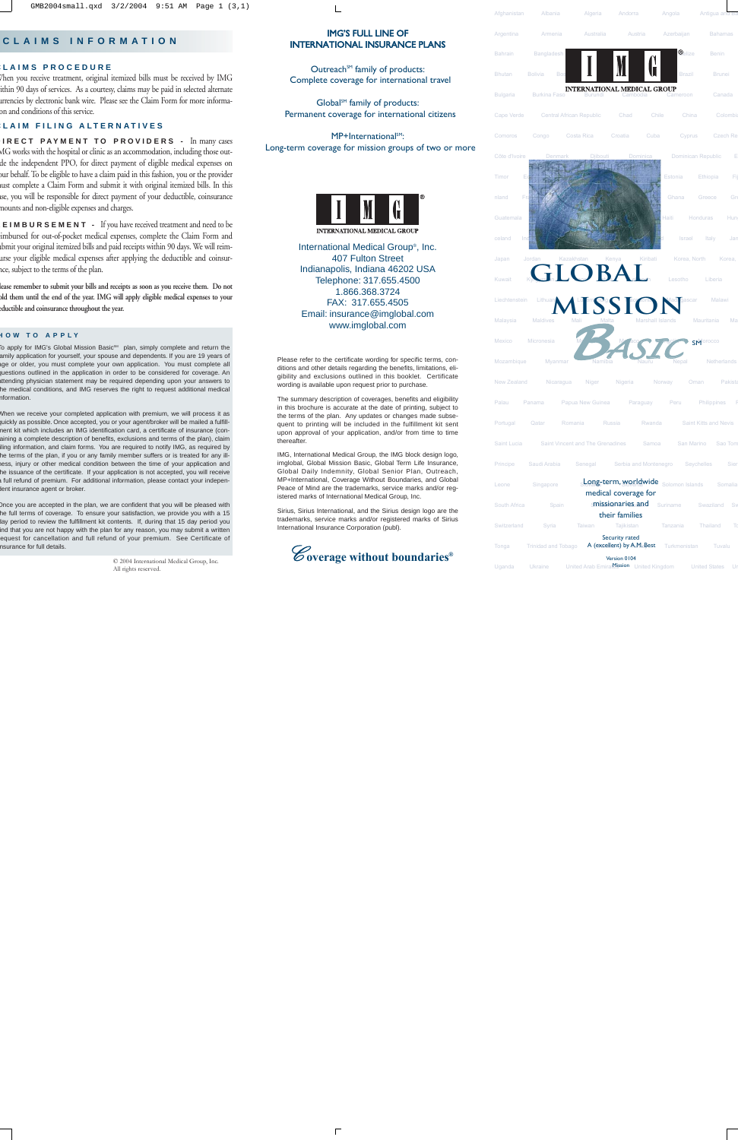# IMG'S FULL LINE OF INTERNATIONAL INSURANCE PLANS

Outreach<sup>SM</sup> family of products: Complete coverage for international travel

Global<sup>sM</sup> family of products: Permanent coverage for international citizens

MP+International<sup>SM</sup>: Long-term coverage for mission groups of two or more



International Medical Group®, Inc. 407 Fulton Street Indianapolis, Indiana 46202 USA Telephone: 317.655.4500 1.866.368.3724 FAX: 317.655.4505 Email: insurance@imglobal.com www.imglobal.com

Please refer to the certificate wording for specific terms, conditions and other details regarding the benefits, limitations, eligibility and exclusions outlined in this booklet. Certificate wording is available upon request prior to purchase.

The summary description of coverages, benefits and eligibility in this brochure is accurate at the date of printing, subject to the terms of the plan. Any updates or changes made subsequent to printing will be included in the fulfillment kit sent upon approval of your application, and/or from time to time thereafter.

IMG, International Medical Group, the IMG block design logo, imglobal, Global Mission Basic, Global Term Life Insurance, Global Daily Indemnity, Global Senior Plan, Outreach, MP+International, Coverage Without Boundaries, and Global Peace of Mind are the trademarks, service marks and/or registered marks of International Medical Group, Inc.

Sirius, Sirius International, and the Sirius design logo are the trademarks, service marks and/or registered marks of Sirius International Insurance Corporation (publ).



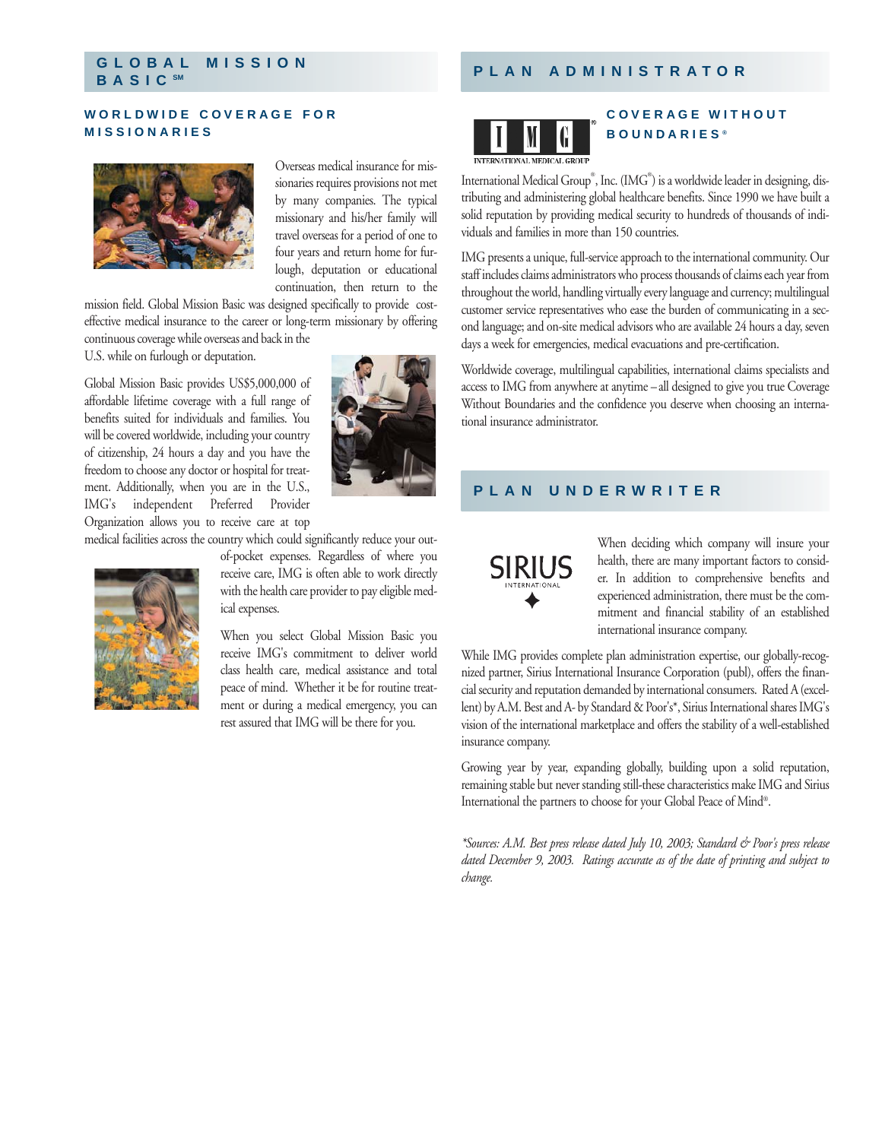# **GLOBAL MISSION**

## **WORLDWIDE COVERAGE FOR MISSIONARIES**



Overseas medical insurance for missionaries requires provisions not met by many companies. The typical missionary and his/her family will travel overseas for a period of one to four years and return home for furlough, deputation or educational continuation, then return to the

mission field. Global Mission Basic was designed specifically to provide costeffective medical insurance to the career or long-term missionary by offering

continuous coverage while overseas and back in the

U.S. while on furlough or deputation.

Global Mission Basic provides US\$5,000,000 of affordable lifetime coverage with a full range of benefits suited for individuals and families. You will be covered worldwide, including your country of citizenship, 24 hours a day and you have the freedom to choose any doctor or hospital for treatment. Additionally, when you are in the U.S., IMG's independent Preferred Provider Organization allows you to receive care at top

medical facilities across the country which could significantly reduce your out-



of-pocket expenses. Regardless of where you receive care, IMG is often able to work directly with the health care provider to pay eligible medical expenses.

When you select Global Mission Basic you receive IMG's commitment to deliver world class health care, medical assistance and total peace of mind. Whether it be for routine treatment or during a medical emergency, you can rest assured that IMG will be there for you.

# **BASIC SM PLAN ADMINISTRATOR**

# **COVERAGE WITHOUT BOUNDARIES ®**

INTERNATIONAL MEDICAL GROUP

International Medical Group®, Inc. (IMG®) is a worldwide leader in designing, distributing and administering global healthcare benefits. Since 1990 we have built a solid reputation by providing medical security to hundreds of thousands of individuals and families in more than 150 countries.

IMG presents a unique, full-service approach to the international community. Our staff includes claims administrators who process thousands of claims each year from throughout the world, handling virtually every language and currency; multilingual customer service representatives who ease the burden of communicating in a second language; and on-site medical advisors who are available 24 hours a day, seven days a week for emergencies, medical evacuations and pre-certification.

Worldwide coverage, multilingual capabilities, international claims specialists and access to IMG from anywhere at anytime –all designed to give you true Coverage Without Boundaries and the confidence you deserve when choosing an international insurance administrator.

# **PLAN UNDERWRITER**



When deciding which company will insure your health, there are many important factors to consider. In addition to comprehensive benefits and experienced administration, there must be the commitment and financial stability of an established international insurance company.

While IMG provides complete plan administration expertise, our globally-recognized partner, Sirius International Insurance Corporation (publ), offers the financial security and reputation demanded by international consumers. Rated A (excellent) by A.M. Best and A- by Standard & Poor's\*, Sirius International shares IMG's vision of the international marketplace and offers the stability of a well-established insurance company.

Growing year by year, expanding globally, building upon a solid reputation, remaining stable but never standing still-these characteristics make IMG and Sirius International the partners to choose for your Global Peace of Mind®.

*\*Sources: A.M. Best press release dated July 10, 2003; Standard & Poor's press release dated December 9, 2003. Ratings accurate as of the date of printing and subject to change.*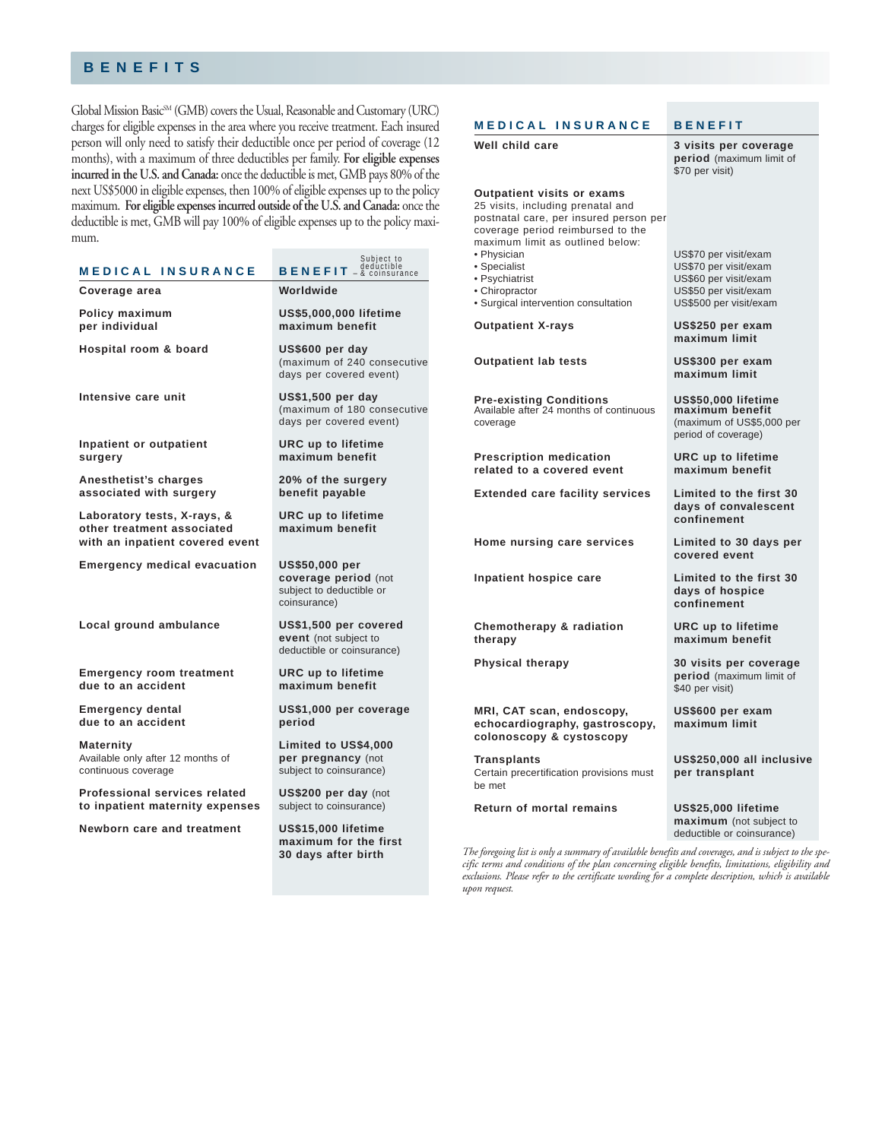# **BENEFITS**

Global Mission Basic<sup>SM</sup> (GMB) covers the Usual, Reasonable and Customary (URC) charges for eligible expenses in the area where you receive treatment. Each insured person will only need to satisfy their deductible once per period of coverage (12 months), with a maximum of three deductibles per family. **For eligible expenses incurred in the U.S. and Canada:** once the deductible is met, GMB pays 80% of the next US\$5000 in eligible expenses, then 100% of eligible expenses up to the policy maximum. **For eligible expenses incurred outside of the U.S. and Canada:** once the deductible is met, GMB will pay 100% of eligible expenses up to the policy maximum.

| MEDICAL INSURANCE                                                                            | Subiect to<br><b>BENEFIT</b> $-\frac{\text{dedúctible}}{\text{coinsurance}}$              |
|----------------------------------------------------------------------------------------------|-------------------------------------------------------------------------------------------|
| Coverage area                                                                                | Worldwide                                                                                 |
| Policy maximum<br>per individual                                                             | US\$5,000,000 lifetime<br>maximum benefit                                                 |
| Hospital room & board                                                                        | US\$600 per day<br>(maximum of 240 consecutive<br>days per covered event)                 |
| Intensive care unit                                                                          | US\$1,500 per day<br>(maximum of 180 consecutive<br>days per covered event)               |
| Inpatient or outpatient<br>surgery                                                           | <b>URC</b> up to lifetime<br>maximum benefit                                              |
| Anesthetist's charges<br>associated with surgery                                             | 20% of the surgery<br>benefit payable                                                     |
| Laboratory tests, X-rays, &<br>other treatment associated<br>with an inpatient covered event | <b>URC</b> up to lifetime<br>maximum benefit                                              |
| <b>Emergency medical evacuation</b>                                                          | <b>US\$50,000 per</b><br>coverage period (not<br>subject to deductible or<br>coinsurance) |
| Local ground ambulance                                                                       | US\$1,500 per covered<br>event (not subject to<br>deductible or coinsurance)              |
| <b>Emergency room treatment</b><br>due to an accident                                        | <b>URC</b> up to lifetime<br>maximum benefit                                              |
| <b>Emergency dental</b><br>due to an accident                                                | US\$1,000 per coverage<br>period                                                          |
| <b>Maternity</b><br>Available only after 12 months of<br>continuous coverage                 | Limited to US\$4,000<br>per pregnancy (not<br>subject to coinsurance)                     |
| Professional services related<br>to inpatient maternity expenses                             | US\$200 per day (not<br>subject to coinsurance)                                           |
| Newborn care and treatment                                                                   | US\$15,000 lifetime<br>maximum for the first<br>30 days after birth                       |

#### Well child care **3 visits per coverage period** (maximum limit of \$70 per visit) **Outpatient visits or exams** 25 visits, including prenatal and

**MEDICAL INSURANCE BENEFIT**

postnatal care, per insured person per coverage period reimbursed to the maximum limit as outlined below:<br>• Physician

- 
- 
- 
- 
- Surgical intervention consultation US\$500 per visit/exam

**Outpatient X-rays US\$250 per exam**

**Outpatient lab tests US\$300 per exam**

**Pre-existing Conditions US\$50,000 lifetime**  Available after 24 months of continuous coverage (maximum of US\$5,000 per

**Prescription medication URC up to lifetime related to a covered event maximum benefit**

**Extended care facility services Limited to the first 30** 

**Home nursing care services Limited to 30 days per** 

**Chemotherapy & radiation URC up to lifetime therapy maximum benefit**

**MRI, CAT scan, endoscopy, US\$600 per exam** echocardiography, gastroscopy, **colonoscopy & cystoscopy**

**Transplants US\$250,000 all inclusive** Certain precertification provisions must **per transplant** be met

**Return of mortal remains US\$25,000 lifetime** 

# • Physician US\$70 per visit/exam • Specialist US\$70 per visit/exam<br>• Psychiatrist US\$60 per visit/exam • Psychiatrist US\$60 per visit/exam<br>• Chiropractor US\$50 per visit/exam US\$50 per visit/exam **maximum limit maximum limit** period of coverage)

**days of convalescent confinement**

**covered event**

**Inpatient hospice care Limited to the first 30 days of hospice confinement**

**Physical therapy 30 visits per coverage period** (maximum limit of \$40 per visit)

**maximum** (not subject to deductible or coinsurance)

*The foregoing list is only a summary of available benefits and coverages, and is subject to the specific terms and conditions of the plan concerning eligible benefits, limitations, eligibility and exclusions. Please refer to the certificate wording for a complete description, which is available upon request.*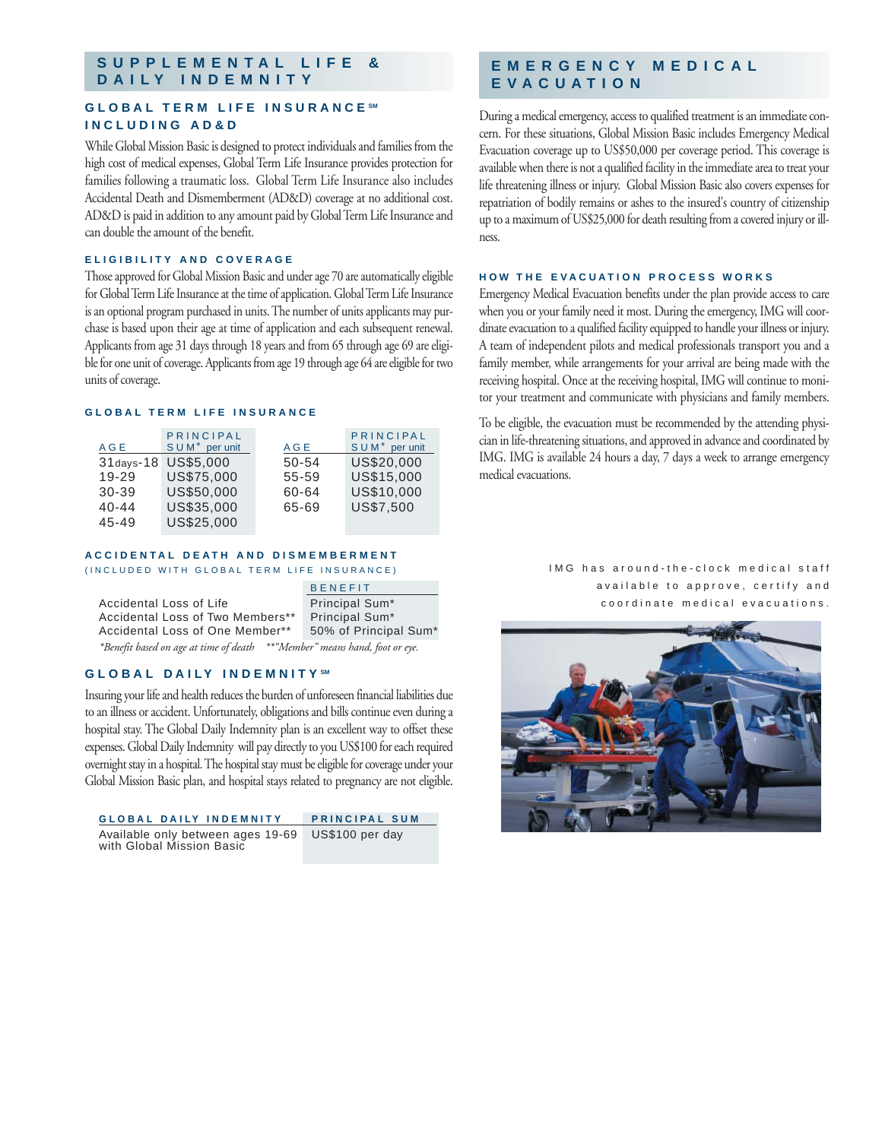# **SUPPLEMENTAL LIFE & DAILY INDEMNITY**

# **GLOBAL TERM LIFE INSURANCE SM INCLUDING AD&D**

While Global Mission Basic is designed to protect individuals and families from the high cost of medical expenses, Global Term Life Insurance provides protection for families following a traumatic loss. Global Term Life Insurance also includes Accidental Death and Dismemberment (AD&D) coverage at no additional cost. AD&D is paid in addition to any amount paid by Global Term Life Insurance and can double the amount of the benefit.

#### **ELIGIBILITY AND COVERAGE**

Those approved for Global Mission Basic and under age 70 are automatically eligible for Global Term Life Insurance at the time of application. Global Term Life Insurance is an optional program purchased in units. The number of units applicants may purchase is based upon their age at time of application and each subsequent renewal. Applicants from age 31 days through 18 years and from 65 through age 69 are eligible for one unit of coverage. Applicants from age 19 through age 64 are eligible for two units of coverage.

#### **GLOBAL TERM LIFE INSURANCE**

| AGE       | PRINCIPAL<br>SUM <sup>*</sup> per unit | AGE   | PRINCIPAL<br>SUM <sup>*</sup> per unit |
|-----------|----------------------------------------|-------|----------------------------------------|
|           | 31days-18 US\$5,000                    | 50-54 | US\$20,000                             |
| $19 - 29$ | US\$75,000                             | 55-59 | US\$15,000                             |
| $30 - 39$ | US\$50,000                             | 60-64 | US\$10,000                             |
| $40 - 44$ | US\$35,000                             | 65-69 | US\$7,500                              |
| $45 - 49$ | US\$25,000                             |       |                                        |

#### **ACCIDENTAL DEATH AND DISMEMBERMENT** (INCLUDED WITH GLOBAL TERM LIFE INSURANCE)

|                                                                             | <b>BENEFIT</b>        |  |
|-----------------------------------------------------------------------------|-----------------------|--|
| Accidental Loss of Life                                                     | Principal Sum*        |  |
| Accidental Loss of Two Members**                                            | Principal Sum*        |  |
| Accidental Loss of One Member**                                             | 50% of Principal Sum* |  |
| *Benefit based on age at time of death ** "Member" means hand, foot or eye. |                       |  |

# **GLOBAL DAILY INDEMNITY SM**

Insuring your life and health reduces the burden of unforeseen financial liabilities due to an illness or accident. Unfortunately, obligations and bills continue even during a hospital stay. The Global Daily Indemnity plan is an excellent way to offset these expenses. Global Daily Indemnity will pay directly to you US\$100 for each required overnight stay in a hospital. The hospital stay must be eligible for coverage under your Global Mission Basic plan, and hospital stays related to pregnancy are not eligible.

**GLOBAL DAILY INDEMNITY PRINCIPAL SUM** Available only between ages 19-69 US\$100 per day with Global Mission Basic

# **EMERGENCY MEDICAL EVACUATION**

During a medical emergency, access to qualified treatment is an immediate concern. For these situations, Global Mission Basic includes Emergency Medical Evacuation coverage up to US\$50,000 per coverage period. This coverage is available when there is not a qualified facility in the immediate area to treat your life threatening illness or injury. Global Mission Basic also covers expenses for repatriation of bodily remains or ashes to the insured's country of citizenship up to a maximum of US\$25,000 for death resulting from a covered injury or illness.

#### **HOW THE EVACUATION PROCESS WORKS**

Emergency Medical Evacuation benefits under the plan provide access to care when you or your family need it most. During the emergency, IMG will coordinate evacuation to a qualified facility equipped to handle your illness or injury. A team of independent pilots and medical professionals transport you and a family member, while arrangements for your arrival are being made with the receiving hospital. Once at the receiving hospital, IMG will continue to monitor your treatment and communicate with physicians and family members.

To be eligible, the evacuation must be recommended by the attending physician in life-threatening situations, and approved in advance and coordinated by IMG. IMG is available 24 hours a day, 7 days a week to arrange emergency medical evacuations.

> IMG has around-the-clock medical staff available to approve, certify and coordinate medical evacuations.

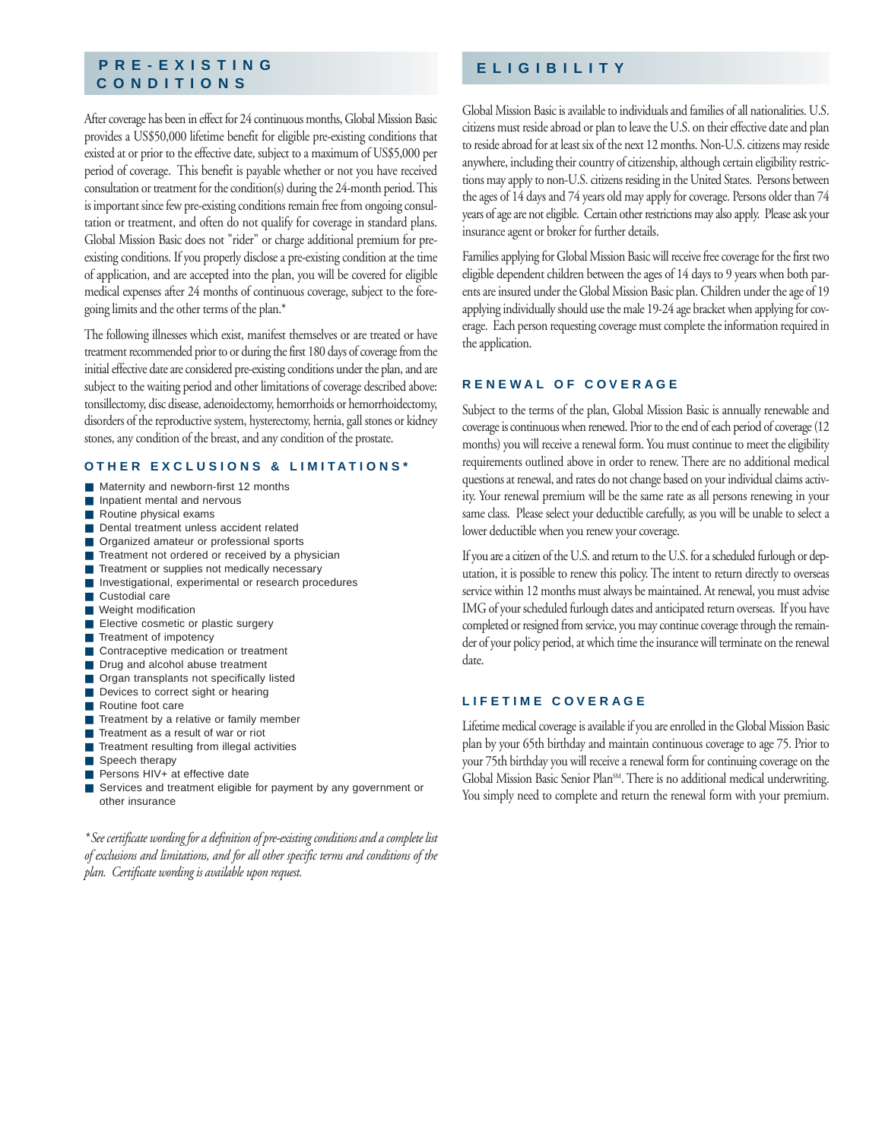# **PRE-EXISTING CONDITIONS**

After coverage has been in effect for 24 continuous months, Global Mission Basic provides a US\$50,000 lifetime benefit for eligible pre-existing conditions that existed at or prior to the effective date, subject to a maximum of US\$5,000 per period of coverage. This benefit is payable whether or not you have received consultation or treatment for the condition(s) during the 24-month period. This is important since few pre-existing conditions remain free from ongoing consultation or treatment, and often do not qualify for coverage in standard plans. Global Mission Basic does not "rider" or charge additional premium for preexisting conditions. If you properly disclose a pre-existing condition at the time of application, and are accepted into the plan, you will be covered for eligible medical expenses after 24 months of continuous coverage, subject to the foregoing limits and the other terms of the plan.\*

The following illnesses which exist, manifest themselves or are treated or have treatment recommended prior to or during the first 180 days of coverage from the initial effective date are considered pre-existing conditions under the plan, and are subject to the waiting period and other limitations of coverage described above: tonsillectomy, disc disease, adenoidectomy, hemorrhoids or hemorrhoidectomy, disorders of the reproductive system, hysterectomy, hernia, gall stones or kidney stones, any condition of the breast, and any condition of the prostate.

### **OTHER EXCLUSIONS & LIMITATIONS\***

- Maternity and newborn-first 12 months
- Inpatient mental and nervous
- Routine physical exams
- Dental treatment unless accident related
- Organized amateur or professional sports
- Treatment not ordered or received by a physician
- Treatment or supplies not medically necessary
- Investigational, experimental or research procedures
- Custodial care
- Weight modification
- Elective cosmetic or plastic surgery
- Treatment of impotency
- Contraceptive medication or treatment
- Drug and alcohol abuse treatment
- Organ transplants not specifically listed
- Devices to correct sight or hearing
- Routine foot care
- Treatment by a relative or family member
- Treatment as a result of war or riot
- Treatment resulting from illegal activities
- Speech therapy
- Persons HIV+ at effective date
- Services and treatment eligible for payment by any government or other insurance

*\*See certificate wording for a definition of pre-existing conditions and a complete list of exclusions and limitations, and for all other specific terms and conditions of the plan. Certificate wording is available upon request.*

# **ELIGIBILITY**

Global Mission Basic is available to individuals and families of all nationalities. U.S. citizens must reside abroad or plan to leave the U.S. on their effective date and plan to reside abroad for at least six of the next 12 months. Non-U.S. citizens may reside anywhere, including their country of citizenship, although certain eligibility restrictions may apply to non-U.S. citizens residing in the United States. Persons between the ages of 14 days and 74 years old may apply for coverage. Persons older than 74 years of age are not eligible. Certain other restrictions may also apply. Please ask your insurance agent or broker for further details.

Families applying for Global Mission Basic will receive free coverage for the first two eligible dependent children between the ages of 14 days to 9 years when both parents are insured under the Global Mission Basic plan. Children under the age of 19 applying individually should use the male 19-24 age bracket when applying for coverage. Each person requesting coverage must complete the information required in the application.

### **RENEWAL OF COVERAGE**

Subject to the terms of the plan, Global Mission Basic is annually renewable and coverage is continuous when renewed. Prior to the end of each period of coverage (12 months) you will receive a renewal form. You must continue to meet the eligibility requirements outlined above in order to renew. There are no additional medical questions at renewal, and rates do not change based on your individual claims activity. Your renewal premium will be the same rate as all persons renewing in your same class. Please select your deductible carefully, as you will be unable to select a lower deductible when you renew your coverage.

If you are a citizen of the U.S. and return to the U.S. for a scheduled furlough or deputation, it is possible to renew this policy. The intent to return directly to overseas service within 12 months must always be maintained. At renewal, you must advise IMG of your scheduled furlough dates and anticipated return overseas. If you have completed or resigned from service, you may continue coverage through the remainder of your policy period, at which time the insurance will terminate on the renewal date.

## **LIFETIME COVERAGE**

Lifetime medical coverage is available if you are enrolled in the Global Mission Basic plan by your 65th birthday and maintain continuous coverage to age 75. Prior to your 75th birthday you will receive a renewal form for continuing coverage on the Global Mission Basic Senior Plan<sup>SM</sup>. There is no additional medical underwriting. You simply need to complete and return the renewal form with your premium.